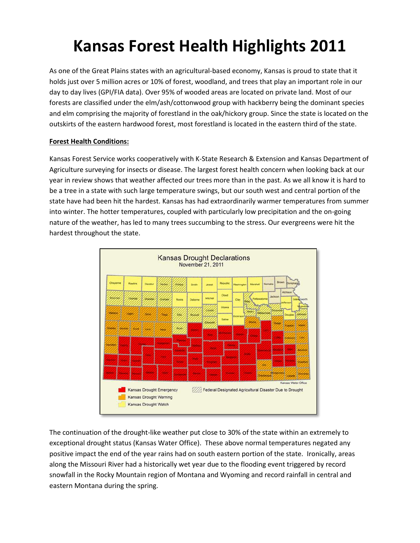# **Kansas Forest Health Highlights 2011**

As one of the Great Plains states with an agricultural-based economy, Kansas is proud to state that it holds just over 5 million acres or 10% of forest, woodland, and trees that play an important role in our day to day lives (GPI/FIA data). Over 95% of wooded areas are located on private land. Most of our forests are classified under the elm/ash/cottonwood group with hackberry being the dominant species and elm comprising the majority of forestland in the oak/hickory group. Since the state is located on the outskirts of the eastern hardwood forest, most forestland is located in the eastern third of the state.

# **Forest Health Conditions:**

Kansas Forest Service works cooperatively with K-State Research & Extension and Kansas Department of Agriculture surveying for insects or disease. The largest forest health concern when looking back at our year in review shows that weather affected our trees more than in the past. As we all know it is hard to be a tree in a state with such large temperature swings, but our south west and central portion of the state have had been hit the hardest. Kansas has had extraordinarily warmer temperatures from summer into winter. The hotter temperatures, coupled with particularly low precipitation and the on-going nature of the weather, has led to many trees succumbing to the stress. Our evergreens were hit the hardest throughout the state.



The continuation of the drought-like weather put close to 30% of the state within an extremely to exceptional drought status (Kansas Water Office). These above normal temperatures negated any positive impact the end of the year rains had on south eastern portion of the state. Ironically, areas along the Missouri River had a historically wet year due to the flooding event triggered by record snowfall in the Rocky Mountain region of Montana and Wyoming and record rainfall in central and eastern Montana during the spring.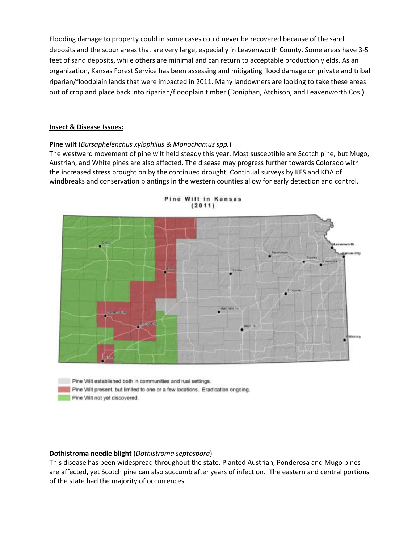Flooding damage to property could in some cases could never be recovered because of the sand deposits and the scour areas that are very large, especially in Leavenworth County. Some areas have 3-5 feet of sand deposits, while others are minimal and can return to acceptable production yields. As an organization, Kansas Forest Service has been assessing and mitigating flood damage on private and tribal riparian/floodplain lands that were impacted in 2011. Many landowners are looking to take these areas out of crop and place back into riparian/floodplain timber (Doniphan, Atchison, and Leavenworth Cos.).

#### **Insect & Disease Issues:**

#### **Pine wilt** (*Bursaphelenchus xylophilus & Monochamus spp.*)

The westward movement of pine wilt held steady this year. Most susceptible are Scotch pine, but Mugo, Austrian, and White pines are also affected. The disease may progress further towards Colorado with the increased stress brought on by the continued drought. Continual surveys by KFS and KDA of windbreaks and conservation plantings in the western counties allow for early detection and control.





Pine Wilt established both in communities and rual settings.

Pine Wilt present, but limited to one or a few locations. Eradication ongoing.

Pine Wilt not yet discovered.

#### **Dothistroma needle blight** (*Dothistroma septospora*)

This disease has been widespread throughout the state. Planted Austrian, Ponderosa and Mugo pines are affected, yet Scotch pine can also succumb after years of infection. The eastern and central portions of the state had the majority of occurrences.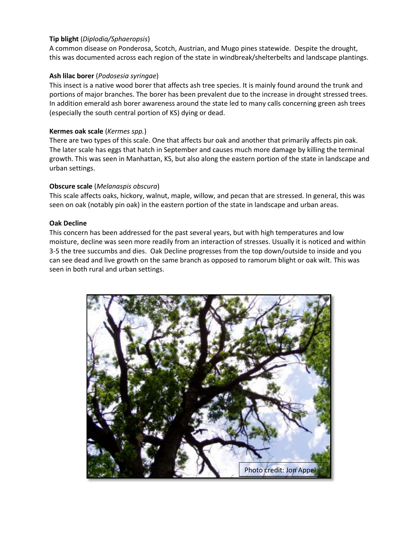# **Tip blight** (*Diplodia/Sphaeropsis*)

A common disease on Ponderosa, Scotch, Austrian, and Mugo pines statewide. Despite the drought, this was documented across each region of the state in windbreak/shelterbelts and landscape plantings.

# **Ash lilac borer** (*Podosesia syringae*)

This insect is a native wood borer that affects ash tree species. It is mainly found around the trunk and portions of major branches. The borer has been prevalent due to the increase in drought stressed trees. In addition emerald ash borer awareness around the state led to many calls concerning green ash trees (especially the south central portion of KS) dying or dead.

## **Kermes oak scale** (*Kermes spp.*)

There are two types of this scale. One that affects bur oak and another that primarily affects pin oak. The later scale has eggs that hatch in September and causes much more damage by killing the terminal growth. This was seen in Manhattan, KS, but also along the eastern portion of the state in landscape and urban settings.

# **Obscure scale** (*Melanaspis obscura*)

This scale affects oaks, hickory, walnut, maple, willow, and pecan that are stressed. In general, this was seen on oak (notably pin oak) in the eastern portion of the state in landscape and urban areas.

## **Oak Decline**

This concern has been addressed for the past several years, but with high temperatures and low moisture, decline was seen more readily from an interaction of stresses. Usually it is noticed and within 3-5 the tree succumbs and dies. Oak Decline progresses from the top down/outside to inside and you can see dead and live growth on the same branch as opposed to ramorum blight or oak wilt. This was seen in both rural and urban settings.